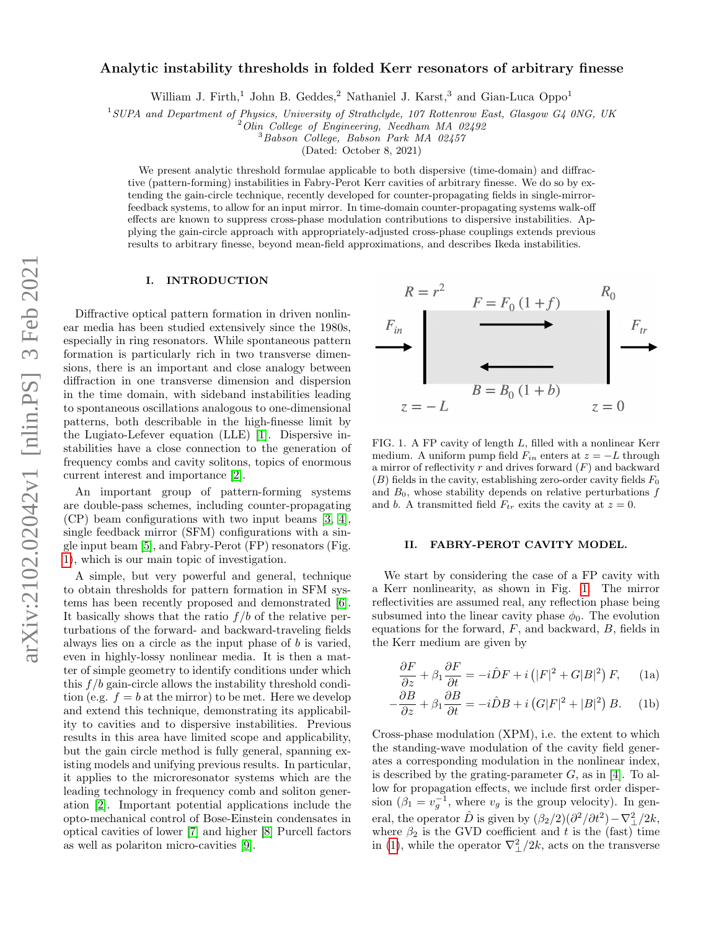# Analytic instability thresholds in folded Kerr resonators of arbitrary finesse

William J. Firth,<sup>1</sup> John B. Geddes,<sup>2</sup> Nathaniel J. Karst,<sup>3</sup> and Gian-Luca Oppo<sup>1</sup>

 $1$ SUPA and Department of Physics, University of Strathclyde, 107 Rottenrow East, Glasgow G4 0NG, UK

 $2$  Olin College of Engineering, Needham MA 02492

<sup>3</sup>Babson College, Babson Park MA 02457

(Dated: October 8, 2021)

We present analytic threshold formulae applicable to both dispersive (time-domain) and diffractive (pattern-forming) instabilities in Fabry-Perot Kerr cavities of arbitrary finesse. We do so by extending the gain-circle technique, recently developed for counter-propagating fields in single-mirrorfeedback systems, to allow for an input mirror. In time-domain counter-propagating systems walk-off effects are known to suppress cross-phase modulation contributions to dispersive instabilities. Applying the gain-circle approach with appropriately-adjusted cross-phase couplings extends previous results to arbitrary finesse, beyond mean-field approximations, and describes Ikeda instabilities.

### I. INTRODUCTION

Diffractive optical pattern formation in driven nonlinear media has been studied extensively since the 1980s, especially in ring resonators. While spontaneous pattern formation is particularly rich in two transverse dimensions, there is an important and close analogy between diffraction in one transverse dimension and dispersion in the time domain, with sideband instabilities leading to spontaneous oscillations analogous to one-dimensional patterns, both describable in the high-finesse limit by the Lugiato-Lefever equation (LLE) [\[1\]](#page-4-0). Dispersive instabilities have a close connection to the generation of frequency combs and cavity solitons, topics of enormous current interest and importance [\[2\]](#page-4-1).

An important group of pattern-forming systems are double-pass schemes, including counter-propagating (CP) beam configurations with two input beams [\[3,](#page-4-2) [4\]](#page-4-3), single feedback mirror (SFM) configurations with a single input beam [\[5\]](#page-4-4), and Fabry-Perot (FP) resonators (Fig. [1\)](#page-0-0), which is our main topic of investigation.

A simple, but very powerful and general, technique to obtain thresholds for pattern formation in SFM systems has been recently proposed and demonstrated [\[6\]](#page-4-5). It basically shows that the ratio  $f/b$  of the relative perturbations of the forward- and backward-traveling fields always lies on a circle as the input phase of b is varied, even in highly-lossy nonlinear media. It is then a matter of simple geometry to identify conditions under which this  $f/b$  gain-circle allows the instability threshold condition (e.g.  $f = b$  at the mirror) to be met. Here we develop and extend this technique, demonstrating its applicability to cavities and to dispersive instabilities. Previous results in this area have limited scope and applicability, but the gain circle method is fully general, spanning existing models and unifying previous results. In particular, it applies to the microresonator systems which are the leading technology in frequency comb and soliton generation [\[2\]](#page-4-1). Important potential applications include the opto-mechanical control of Bose-Einstein condensates in optical cavities of lower [\[7\]](#page-4-6) and higher [\[8\]](#page-4-7) Purcell factors as well as polariton micro-cavities [\[9\]](#page-4-8).



<span id="page-0-0"></span>FIG. 1. A FP cavity of length L, filled with a nonlinear Kerr medium. A uniform pump field  $F_{in}$  enters at  $z = -L$  through a mirror of reflectivity r and drives forward  $(F)$  and backward  $(B)$  fields in the cavity, establishing zero-order cavity fields  $F_0$ and  $B_0$ , whose stability depends on relative perturbations f and b. A transmitted field  $F_{tr}$  exits the cavity at  $z = 0$ .

### II. FABRY-PEROT CAVITY MODEL.

We start by considering the case of a FP cavity with a Kerr nonlinearity, as shown in Fig. [1.](#page-0-0) The mirror reflectivities are assumed real, any reflection phase being subsumed into the linear cavity phase  $\phi_0$ . The evolution equations for the forward, F, and backward, B, fields in the Kerr medium are given by

<span id="page-0-1"></span>
$$
\frac{\partial F}{\partial z} + \beta_1 \frac{\partial F}{\partial t} = -i\hat{D}F + i\left(|F|^2 + G|B|^2\right)F,\qquad(1a)
$$

$$
-\frac{\partial B}{\partial z} + \beta_1 \frac{\partial B}{\partial t} = -i\hat{D}B + i\left(G|F|^2 + |B|^2\right)B.
$$
 (1b)

Cross-phase modulation (XPM), i.e. the extent to which the standing-wave modulation of the cavity field generates a corresponding modulation in the nonlinear index, is described by the grating-parameter  $G$ , as in [\[4\]](#page-4-3). To allow for propagation effects, we include first order dispersion  $(\beta_1 = v_g^{-1})$ , where  $v_g$  is the group velocity). In general, the operator  $\hat{D}$  is given by  $(\beta_2/2)(\partial^2/\partial t^2) - \nabla_{\perp}^2/2k$ , where  $\beta_2$  is the GVD coefficient and t is the (fast) time in [\(1\)](#page-0-1), while the operator  $\nabla_{\perp}^{2}/2k$ , acts on the transverse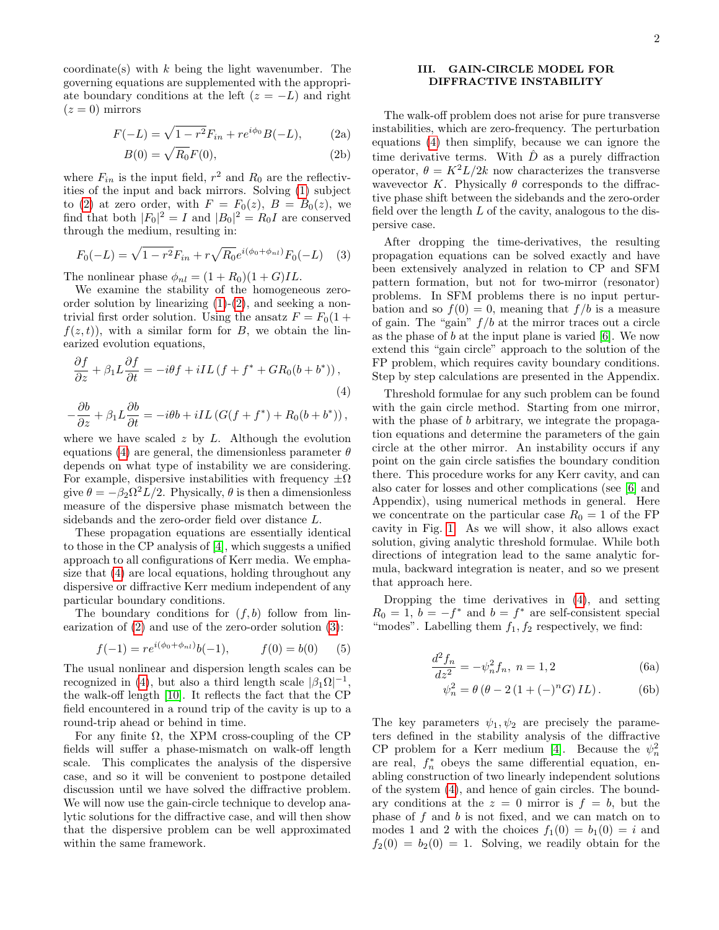coordinate(s) with  $k$  being the light wavenumber. The governing equations are supplemented with the appropriate boundary conditions at the left  $(z = -L)$  and right  $(z=0)$  mirrors

<span id="page-1-0"></span>
$$
F(-L) = \sqrt{1 - r^2} F_{in} + r e^{i\phi_0} B(-L), \qquad (2a)
$$

$$
B(0) = \sqrt{R_0}F(0),\tag{2b}
$$

where  $F_{in}$  is the input field,  $r^2$  and  $R_0$  are the reflectivities of the input and back mirrors. Solving [\(1\)](#page-0-1) subject to [\(2\)](#page-1-0) at zero order, with  $F = F_0(z)$ ,  $B = B_0(z)$ , we find that both  $|F_0|^2 = I$  and  $|B_0|^2 = R_0I$  are conserved through the medium, resulting in:

<span id="page-1-2"></span>
$$
F_0(-L) = \sqrt{1 - r^2} F_{in} + r \sqrt{R_0} e^{i(\phi_0 + \phi_{nl})} F_0(-L)
$$
 (3)

The nonlinear phase  $\phi_{nl} = (1 + R_0)(1 + G)IL$ .

We examine the stability of the homogeneous zeroorder solution by linearizing  $(1)-(2)$  $(1)-(2)$  $(1)-(2)$ , and seeking a nontrivial first order solution. Using the ansatz  $F = F_0(1 +$  $f(z, t)$ , with a similar form for B, we obtain the linearized evolution equations,

<span id="page-1-1"></span>
$$
\frac{\partial f}{\partial z} + \beta_1 L \frac{\partial f}{\partial t} = -i\theta f + iIL \left( f + f^* + GR_0(b + b^*) \right),\tag{4}
$$
\n
$$
\frac{\partial b}{\partial z} + \beta_1 L \frac{\partial b}{\partial t} = -i\theta f + iIL \left( G(f, t, f^*) + P_0 \left( f + f^* \right) \right)
$$

$$
-\frac{\partial b}{\partial z} + \beta_1 L \frac{\partial b}{\partial t} = -i\theta b + iIL \left( G(f + f^*) + R_0(b + b^*) \right),
$$

where we have scaled  $z$  by  $L$ . Although the evolution equations [\(4\)](#page-1-1) are general, the dimensionless parameter  $\theta$ depends on what type of instability we are considering. For example, dispersive instabilities with frequency  $\pm \Omega$ give  $\theta = -\beta_2 \Omega^2 L/2$ . Physically,  $\theta$  is then a dimensionless measure of the dispersive phase mismatch between the sidebands and the zero-order field over distance L.

These propagation equations are essentially identical to those in the CP analysis of [\[4\]](#page-4-3), which suggests a unified approach to all configurations of Kerr media. We emphasize that [\(4\)](#page-1-1) are local equations, holding throughout any dispersive or diffractive Kerr medium independent of any particular boundary conditions.

The boundary conditions for  $(f, b)$  follow from linearization of [\(2\)](#page-1-0) and use of the zero-order solution [\(3\)](#page-1-2):

<span id="page-1-3"></span>
$$
f(-1) = re^{i(\phi_0 + \phi_{nl})}b(-1), \qquad f(0) = b(0) \qquad (5)
$$

The usual nonlinear and dispersion length scales can be recognized in [\(4\)](#page-1-1), but also a third length scale  $|\beta_1 \Omega|^{-1}$ , the walk-off length [\[10\]](#page-4-9). It reflects the fact that the CP field encountered in a round trip of the cavity is up to a round-trip ahead or behind in time.

For any finite  $\Omega$ , the XPM cross-coupling of the CP fields will suffer a phase-mismatch on walk-off length scale. This complicates the analysis of the dispersive case, and so it will be convenient to postpone detailed discussion until we have solved the diffractive problem. We will now use the gain-circle technique to develop analytic solutions for the diffractive case, and will then show that the dispersive problem can be well approximated within the same framework.

### III. GAIN-CIRCLE MODEL FOR DIFFRACTIVE INSTABILITY

The walk-off problem does not arise for pure transverse instabilities, which are zero-frequency. The perturbation equations [\(4\)](#page-1-1) then simplify, because we can ignore the time derivative terms. With  $\hat{D}$  as a purely diffraction operator,  $\theta = K^2 L/2k$  now characterizes the transverse wavevector K. Physically  $\theta$  corresponds to the diffractive phase shift between the sidebands and the zero-order field over the length  $L$  of the cavity, analogous to the dispersive case.

After dropping the time-derivatives, the resulting propagation equations can be solved exactly and have been extensively analyzed in relation to CP and SFM pattern formation, but not for two-mirror (resonator) problems. In SFM problems there is no input perturbation and so  $f(0) = 0$ , meaning that  $f/b$  is a measure of gain. The "gain"  $f/b$  at the mirror traces out a circle as the phase of  $b$  at the input plane is varied  $[6]$ . We now extend this "gain circle" approach to the solution of the FP problem, which requires cavity boundary conditions. Step by step calculations are presented in the Appendix.

Threshold formulae for any such problem can be found with the gain circle method. Starting from one mirror, with the phase of b arbitrary, we integrate the propagation equations and determine the parameters of the gain circle at the other mirror. An instability occurs if any point on the gain circle satisfies the boundary condition there. This procedure works for any Kerr cavity, and can also cater for losses and other complications (see [\[6\]](#page-4-5) and Appendix), using numerical methods in general. Here we concentrate on the particular case  $R_0 = 1$  of the FP cavity in Fig. [1.](#page-0-0) As we will show, it also allows exact solution, giving analytic threshold formulae. While both directions of integration lead to the same analytic formula, backward integration is neater, and so we present that approach here.

Dropping the time derivatives in [\(4\)](#page-1-1), and setting  $R_0 = 1, b = -f^*$  and  $b = f^*$  are self-consistent special "modes". Labelling them  $f_1, f_2$  respectively, we find:

$$
\frac{d^2f_n}{dz^2} = -\psi_n^2 f_n, \ n = 1, 2 \tag{6a}
$$

$$
\psi_n^2 = \theta \left( \theta - 2 \left( 1 + (-)^n G \right) I L \right). \tag{6b}
$$

The key parameters  $\psi_1, \psi_2$  are precisely the parameters defined in the stability analysis of the diffractive CP problem for a Kerr medium [\[4\]](#page-4-3). Because the  $\psi_n^2$ are real,  $f_n^*$  obeys the same differential equation, enabling construction of two linearly independent solutions of the system [\(4\)](#page-1-1), and hence of gain circles. The boundary conditions at the  $z = 0$  mirror is  $f = b$ , but the phase of  $f$  and  $b$  is not fixed, and we can match on to modes 1 and 2 with the choices  $f_1(0) = b_1(0) = i$  and  $f_2(0) = b_2(0) = 1$ . Solving, we readily obtain for the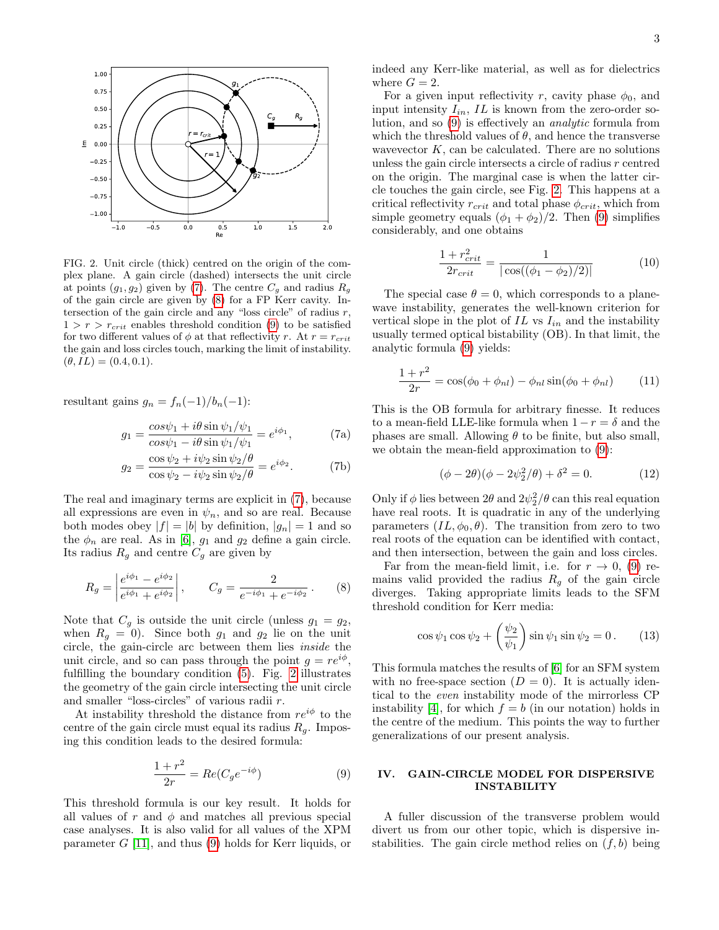

<span id="page-2-3"></span>FIG. 2. Unit circle (thick) centred on the origin of the complex plane. A gain circle (dashed) intersects the unit circle at points  $(g_1, g_2)$  given by [\(7\)](#page-2-0). The centre  $C_g$  and radius  $R_g$ of the gain circle are given by [\(8\)](#page-2-1) for a FP Kerr cavity. Intersection of the gain circle and any "loss circle" of radius  $r$ ,  $1 > r > r_{crit}$  enables threshold condition [\(9\)](#page-2-2) to be satisfied for two different values of  $\phi$  at that reflectivity r. At  $r = r_{crit}$ the gain and loss circles touch, marking the limit of instability.  $(\theta, IL) = (0.4, 0.1).$ 

resultant gains  $g_n = f_n(-1)/b_n(-1)$ :

$$
g_1 = \frac{\cos\psi_1 + i\theta \sin\psi_1/\psi_1}{\cos\psi_1 - i\theta \sin\psi_1/\psi_1} = e^{i\phi_1},\tag{7a}
$$

$$
g_2 = \frac{\cos\psi_2 + i\psi_2 \sin\psi_2/\theta}{\cos\psi_2 - i\psi_2 \sin\psi_2/\theta} = e^{i\phi_2}.
$$
 (7b)

The real and imaginary terms are explicit in [\(7\)](#page-2-0), because all expressions are even in  $\psi_n$ , and so are real. Because both modes obey  $|f| = |b|$  by definition,  $|g_n| = 1$  and so the  $\phi_n$  are real. As in [\[6\]](#page-4-5),  $g_1$  and  $g_2$  define a gain circle. Its radius  $R_g$  and centre  $C_g$  are given by

<span id="page-2-1"></span>
$$
R_g = \left| \frac{e^{i\phi_1} - e^{i\phi_2}}{e^{i\phi_1} + e^{i\phi_2}} \right|, \qquad C_g = \frac{2}{e^{-i\phi_1} + e^{-i\phi_2}}.
$$
 (8)

Note that  $C_g$  is outside the unit circle (unless  $g_1 = g_2$ , when  $R_q = 0$ ). Since both  $g_1$  and  $g_2$  lie on the unit circle, the gain-circle arc between them lies inside the unit circle, and so can pass through the point  $g = re^{i\phi}$ , fulfilling the boundary condition [\(5\)](#page-1-3). Fig. [2](#page-2-3) illustrates the geometry of the gain circle intersecting the unit circle and smaller "loss-circles" of various radii r.

At instability threshold the distance from  $re^{i\phi}$  to the centre of the gain circle must equal its radius  $R_q$ . Imposing this condition leads to the desired formula:

<span id="page-2-2"></span>
$$
\frac{1+r^2}{2r} = Re(C_g e^{-i\phi})\tag{9}
$$

This threshold formula is our key result. It holds for all values of r and  $\phi$  and matches all previous special case analyses. It is also valid for all values of the XPM parameter  $G$  [\[11\]](#page-4-10), and thus [\(9\)](#page-2-2) holds for Kerr liquids, or indeed any Kerr-like material, as well as for dielectrics where  $G = 2$ .

For a given input reflectivity r, cavity phase  $\phi_0$ , and input intensity  $I_{in}$ , IL is known from the zero-order solution, and so [\(9\)](#page-2-2) is effectively an analytic formula from which the threshold values of  $\theta$ , and hence the transverse wavevector  $K$ , can be calculated. There are no solutions unless the gain circle intersects a circle of radius r centred on the origin. The marginal case is when the latter circle touches the gain circle, see Fig. [2.](#page-2-3) This happens at a critical reflectivity  $r_{crit}$  and total phase  $\phi_{crit}$ , which from simple geometry equals  $(\phi_1 + \phi_2)/2$ . Then [\(9\)](#page-2-2) simplifies considerably, and one obtains

<span id="page-2-4"></span>
$$
\frac{1 + r_{crit}^2}{2r_{crit}} = \frac{1}{|\cos((\phi_1 - \phi_2)/2)|} \tag{10}
$$

The special case  $\theta = 0$ , which corresponds to a planewave instability, generates the well-known criterion for vertical slope in the plot of  $IL$  vs  $I_{in}$  and the instability usually termed optical bistability (OB). In that limit, the analytic formula [\(9\)](#page-2-2) yields:

<span id="page-2-6"></span>
$$
\frac{1+r^2}{2r} = \cos(\phi_0 + \phi_{nl}) - \phi_{nl}\sin(\phi_0 + \phi_{nl})
$$
 (11)

<span id="page-2-0"></span>This is the OB formula for arbitrary finesse. It reduces to a mean-field LLE-like formula when  $1 - r = \delta$  and the phases are small. Allowing  $\theta$  to be finite, but also small, we obtain the mean-field approximation to [\(9\)](#page-2-2):

<span id="page-2-5"></span>
$$
(\phi - 2\theta)(\phi - 2\psi_2^2/\theta) + \delta^2 = 0.
$$
 (12)

Only if  $\phi$  lies between  $2\theta$  and  $2\psi_2^2/\theta$  can this real equation have real roots. It is quadratic in any of the underlying parameters  $(IL, \phi_0, \theta)$ . The transition from zero to two real roots of the equation can be identified with contact, and then intersection, between the gain and loss circles.

Far from the mean-field limit, i.e. for  $r \to 0$ , [\(9\)](#page-2-2) remains valid provided the radius  $R_q$  of the gain circle diverges. Taking appropriate limits leads to the SFM threshold condition for Kerr media:

$$
\cos\psi_1\cos\psi_2 + \left(\frac{\psi_2}{\psi_1}\right)\sin\psi_1\sin\psi_2 = 0. \quad (13)
$$

This formula matches the results of [\[6\]](#page-4-5) for an SFM system with no free-space section  $(D = 0)$ . It is actually identical to the even instability mode of the mirrorless CP instability [\[4\]](#page-4-3), for which  $f = b$  (in our notation) holds in the centre of the medium. This points the way to further generalizations of our present analysis.

## IV. GAIN-CIRCLE MODEL FOR DISPERSIVE INSTABILITY

A fuller discussion of the transverse problem would divert us from our other topic, which is dispersive instabilities. The gain circle method relies on  $(f, b)$  being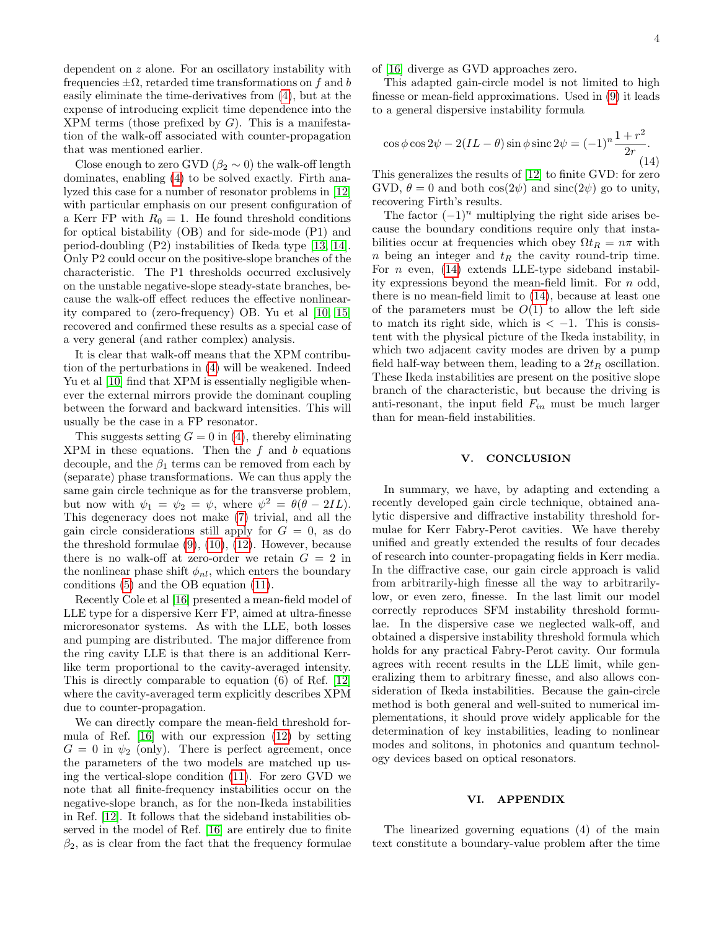dependent on z alone. For an oscillatory instability with frequencies  $\pm \Omega$ , retarded time transformations on f and b easily eliminate the time-derivatives from [\(4\)](#page-1-1), but at the expense of introducing explicit time dependence into the  $XPM$  terms (those prefixed by  $G$ ). This is a manifestation of the walk-off associated with counter-propagation that was mentioned earlier.

Close enough to zero GVD ( $\beta_2 \sim 0$ ) the walk-off length dominates, enabling [\(4\)](#page-1-1) to be solved exactly. Firth analyzed this case for a number of resonator problems in [\[12\]](#page-4-11) with particular emphasis on our present configuration of a Kerr FP with  $R_0 = 1$ . He found threshold conditions for optical bistability (OB) and for side-mode (P1) and period-doubling (P2) instabilities of Ikeda type [\[13,](#page-4-12) [14\]](#page-4-13). Only P2 could occur on the positive-slope branches of the characteristic. The P1 thresholds occurred exclusively on the unstable negative-slope steady-state branches, because the walk-off effect reduces the effective nonlinearity compared to (zero-frequency) OB. Yu et al [\[10,](#page-4-9) [15\]](#page-4-14) recovered and confirmed these results as a special case of a very general (and rather complex) analysis.

It is clear that walk-off means that the XPM contribution of the perturbations in [\(4\)](#page-1-1) will be weakened. Indeed Yu et al [\[10\]](#page-4-9) find that XPM is essentially negligible whenever the external mirrors provide the dominant coupling between the forward and backward intensities. This will usually be the case in a FP resonator.

This suggests setting  $G = 0$  in [\(4\)](#page-1-1), thereby eliminating  $XPM$  in these equations. Then the  $f$  and  $b$  equations decouple, and the  $\beta_1$  terms can be removed from each by (separate) phase transformations. We can thus apply the same gain circle technique as for the transverse problem, but now with  $\psi_1 = \psi_2 = \psi$ , where  $\psi^2 = \theta(\theta - 2IL)$ . This degeneracy does not make [\(7\)](#page-2-0) trivial, and all the gain circle considerations still apply for  $G = 0$ , as do the threshold formulae [\(9\)](#page-2-2), [\(10\)](#page-2-4), [\(12\)](#page-2-5). However, because there is no walk-off at zero-order we retain  $G = 2$  in the nonlinear phase shift  $\phi_{nl}$ , which enters the boundary conditions [\(5\)](#page-1-3) and the OB equation [\(11\)](#page-2-6).

Recently Cole et al [\[16\]](#page-4-15) presented a mean-field model of LLE type for a dispersive Kerr FP, aimed at ultra-finesse microresonator systems. As with the LLE, both losses and pumping are distributed. The major difference from the ring cavity LLE is that there is an additional Kerrlike term proportional to the cavity-averaged intensity. This is directly comparable to equation (6) of Ref. [\[12\]](#page-4-11) where the cavity-averaged term explicitly describes XPM due to counter-propagation.

We can directly compare the mean-field threshold formula of Ref. [\[16\]](#page-4-15) with our expression [\(12\)](#page-2-5) by setting  $G = 0$  in  $\psi_2$  (only). There is perfect agreement, once the parameters of the two models are matched up using the vertical-slope condition [\(11\)](#page-2-6). For zero GVD we note that all finite-frequency instabilities occur on the negative-slope branch, as for the non-Ikeda instabilities in Ref. [\[12\]](#page-4-11). It follows that the sideband instabilities observed in the model of Ref. [\[16\]](#page-4-15) are entirely due to finite  $\beta_2$ , as is clear from the fact that the frequency formulae of [\[16\]](#page-4-15) diverge as GVD approaches zero.

This adapted gain-circle model is not limited to high finesse or mean-field approximations. Used in [\(9\)](#page-2-2) it leads to a general dispersive instability formula

<span id="page-3-0"></span>
$$
\cos\phi\cos 2\psi - 2(IL - \theta)\sin\phi\sin 2\psi = (-1)^n \frac{1+r^2}{2r}.
$$
\n(14)

This generalizes the results of [\[12\]](#page-4-11) to finite GVD: for zero GVD,  $\theta = 0$  and both  $\cos(2\psi)$  and  $\sin(c(2\psi))$  go to unity, recovering Firth's results.

The factor  $(-1)^n$  multiplying the right side arises because the boundary conditions require only that instabilities occur at frequencies which obey  $\Omega t_R = n\pi$  with n being an integer and  $t_R$  the cavity round-trip time. For  $n$  even, [\(14\)](#page-3-0) extends LLE-type sideband instability expressions beyond the mean-field limit. For n odd, there is no mean-field limit to [\(14\)](#page-3-0), because at least one of the parameters must be  $O(1)$  to allow the left side to match its right side, which is  $\lt -1$ . This is consistent with the physical picture of the Ikeda instability, in which two adjacent cavity modes are driven by a pump field half-way between them, leading to a  $2t_R$  oscillation. These Ikeda instabilities are present on the positive slope branch of the characteristic, but because the driving is anti-resonant, the input field  $F_{in}$  must be much larger than for mean-field instabilities.

### V. CONCLUSION

In summary, we have, by adapting and extending a recently developed gain circle technique, obtained analytic dispersive and diffractive instability threshold formulae for Kerr Fabry-Perot cavities. We have thereby unified and greatly extended the results of four decades of research into counter-propagating fields in Kerr media. In the diffractive case, our gain circle approach is valid from arbitrarily-high finesse all the way to arbitrarilylow, or even zero, finesse. In the last limit our model correctly reproduces SFM instability threshold formulae. In the dispersive case we neglected walk-off, and obtained a dispersive instability threshold formula which holds for any practical Fabry-Perot cavity. Our formula agrees with recent results in the LLE limit, while generalizing them to arbitrary finesse, and also allows consideration of Ikeda instabilities. Because the gain-circle method is both general and well-suited to numerical implementations, it should prove widely applicable for the determination of key instabilities, leading to nonlinear modes and solitons, in photonics and quantum technology devices based on optical resonators.

#### VI. APPENDIX

The linearized governing equations (4) of the main text constitute a boundary-value problem after the time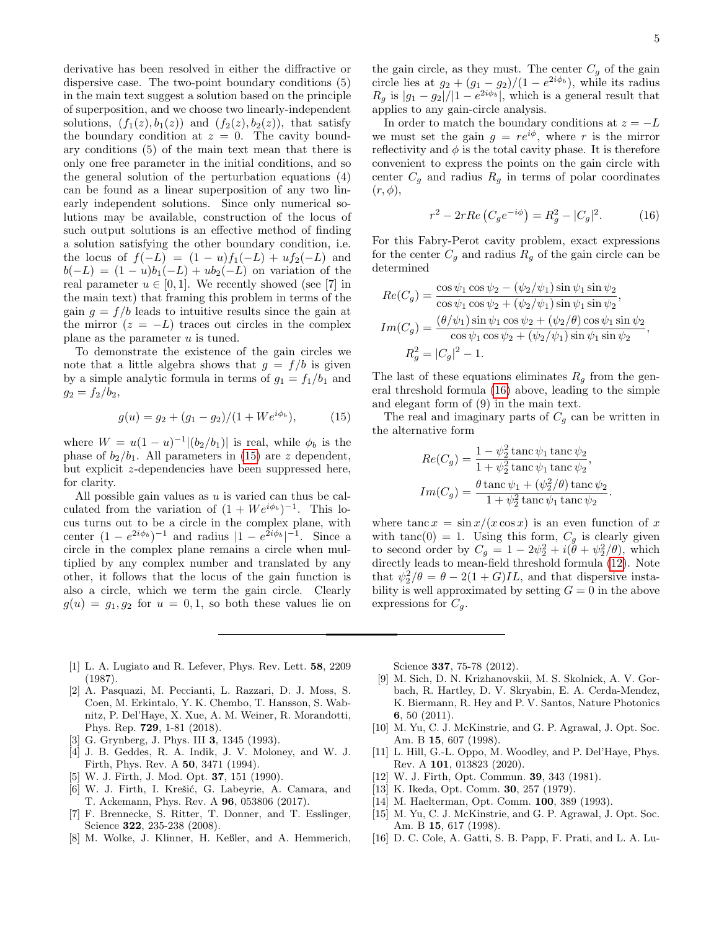derivative has been resolved in either the diffractive or dispersive case. The two-point boundary conditions (5) in the main text suggest a solution based on the principle of superposition, and we choose two linearly-independent solutions,  $(f_1(z), b_1(z))$  and  $(f_2(z), b_2(z))$ , that satisfy the boundary condition at  $z = 0$ . The cavity boundary conditions (5) of the main text mean that there is only one free parameter in the initial conditions, and so the general solution of the perturbation equations (4) can be found as a linear superposition of any two linearly independent solutions. Since only numerical solutions may be available, construction of the locus of such output solutions is an effective method of finding a solution satisfying the other boundary condition, i.e. the locus of  $f(-L) = (1 - u)f_1(-L) + uf_2(-L)$  and  $b(-L) = (1 - u)b_1(-L) + ub_2(-L)$  on variation of the real parameter  $u \in [0, 1]$ . We recently showed (see [7] in the main text) that framing this problem in terms of the gain  $g = f/b$  leads to intuitive results since the gain at the mirror  $(z = -L)$  traces out circles in the complex plane as the parameter  $u$  is tuned.

To demonstrate the existence of the gain circles we note that a little algebra shows that  $q = f/b$  is given by a simple analytic formula in terms of  $g_1 = f_1/b_1$  and  $g_2 = f_2/b_2,$ 

<span id="page-4-16"></span>
$$
g(u) = g_2 + (g_1 - g_2)/(1 + W e^{i\phi_b}), \tag{15}
$$

where  $W = u(1 - u)^{-1} |(b_2/b_1)|$  is real, while  $\phi_b$  is the phase of  $b_2/b_1$ . All parameters in [\(15\)](#page-4-16) are z dependent, but explicit z-dependencies have been suppressed here, for clarity.

All possible gain values as  $u$  is varied can thus be calculated from the variation of  $(1 + We^{i\phi_b})^{-1}$ . This locus turns out to be a circle in the complex plane, with center  $(1 - e^{2i\phi_b})^{-1}$  and radius  $|1 - e^{2i\phi_b}|^{-1}$ . Since a circle in the complex plane remains a circle when multiplied by any complex number and translated by any other, it follows that the locus of the gain function is also a circle, which we term the gain circle. Clearly  $g(u) = g_1, g_2$  for  $u = 0, 1$ , so both these values lie on the gain circle, as they must. The center  $C_g$  of the gain circle lies at  $g_2 + (g_1 - g_2)/(1 - e^{2i\phi_b})$ , while its radius  $R_g$  is  $|g_1 - g_2|/|1 - e^{2i\phi_b}|$ , which is a general result that applies to any gain-circle analysis.

In order to match the boundary conditions at  $z = -L$ we must set the gain  $g = re^{i\phi}$ , where r is the mirror reflectivity and  $\phi$  is the total cavity phase. It is therefore convenient to express the points on the gain circle with center  $C_g$  and radius  $R_g$  in terms of polar coordinates  $(r, \phi)$ ,

<span id="page-4-17"></span>
$$
r^{2} - 2rRe\left(C_{g}e^{-i\phi}\right) = R_{g}^{2} - |C_{g}|^{2}.
$$
 (16)

For this Fabry-Perot cavity problem, exact expressions for the center  $C_g$  and radius  $R_g$  of the gain circle can be determined

$$
Re(C_g) = \frac{\cos \psi_1 \cos \psi_2 - (\psi_2/\psi_1) \sin \psi_1 \sin \psi_2}{\cos \psi_1 \cos \psi_2 + (\psi_2/\psi_1) \sin \psi_1 \sin \psi_2},
$$
  
\n
$$
Im(C_g) = \frac{(\theta/\psi_1) \sin \psi_1 \cos \psi_2 + (\psi_2/\theta) \cos \psi_1 \sin \psi_2}{\cos \psi_1 \cos \psi_2 + (\psi_2/\psi_1) \sin \psi_1 \sin \psi_2},
$$
  
\n
$$
R_g^2 = |C_g|^2 - 1.
$$

The last of these equations eliminates  $R<sub>q</sub>$  from the general threshold formula [\(16\)](#page-4-17) above, leading to the simple and elegant form of (9) in the main text.

The real and imaginary parts of  $C<sub>g</sub>$  can be written in the alternative form

$$
Re(C_g) = \frac{1 - \psi_2^2 \tan \psi_1 \tan \psi_2}{1 + \psi_2^2 \tan \psi_1 \tan \psi_2},
$$
  
\n
$$
Im(C_g) = \frac{\theta \tan \psi_1 + (\psi_2^2/\theta) \tan \psi_2}{1 + \psi_2^2 \tan \psi_1 \tan \psi_2}
$$

.

where tanc  $x = \sin x/(x \cos x)$  is an even function of x with tanc(0) = 1. Using this form,  $C_g$  is clearly given to second order by  $C_g = 1 - 2\psi_2^2 + i(\theta + \psi_2^2/\theta)$ , which directly leads to mean-field threshold formula [\(12\)](#page-2-5). Note that  $\psi_2^2/\theta = \theta - 2(1+G)IL$ , and that dispersive instability is well approximated by setting  $G = 0$  in the above expressions for  $C_q$ .

- <span id="page-4-0"></span>[1] L. A. Lugiato and R. Lefever, Phys. Rev. Lett. 58, 2209 (1987).
- <span id="page-4-1"></span>[2] A. Pasquazi, M. Peccianti, L. Razzari, D. J. Moss, S. Coen, M. Erkintalo, Y. K. Chembo, T. Hansson, S. Wabnitz, P. Del'Haye, X. Xue, A. M. Weiner, R. Morandotti, Phys. Rep. 729, 1-81 (2018).
- <span id="page-4-2"></span>[3] G. Grynberg, J. Phys. III **3**, 1345 (1993).
- <span id="page-4-3"></span>[4] J. B. Geddes, R. A. Indik, J. V. Moloney, and W. J. Firth, Phys. Rev. A 50, 3471 (1994).
- <span id="page-4-4"></span>[5] W. J. Firth, J. Mod. Opt. 37, 151 (1990).
- <span id="page-4-5"></span>[6] W. J. Firth, I. Krešić, G. Labeyrie, A. Camara, and T. Ackemann, Phys. Rev. A 96, 053806 (2017).
- <span id="page-4-6"></span>[7] F. Brennecke, S. Ritter, T. Donner, and T. Esslinger, Science 322, 235-238 (2008).
- <span id="page-4-7"></span>[8] M. Wolke, J. Klinner, H. Keßler, and A. Hemmerich,

Science 337, 75-78 (2012).

- <span id="page-4-8"></span>[9] M. Sich, D. N. Krizhanovskii, M. S. Skolnick, A. V. Gorbach, R. Hartley, D. V. Skryabin, E. A. Cerda-Mendez, K. Biermann, R. Hey and P. V. Santos, Nature Photonics 6, 50 (2011).
- <span id="page-4-9"></span>[10] M. Yu, C. J. McKinstrie, and G. P. Agrawal, J. Opt. Soc. Am. B 15, 607 (1998).
- <span id="page-4-10"></span>[11] L. Hill, G.-L. Oppo, M. Woodley, and P. Del'Haye, Phys. Rev. A 101, 013823 (2020).
- <span id="page-4-11"></span>[12] W. J. Firth, Opt. Commun. **39**, 343 (1981).
- <span id="page-4-12"></span>[13] K. Ikeda, Opt. Comm. **30**, 257 (1979).
- <span id="page-4-13"></span>[14] M. Haelterman, Opt. Comm. **100**, 389 (1993).
- <span id="page-4-14"></span>[15] M. Yu, C. J. McKinstrie, and G. P. Agrawal, J. Opt. Soc. Am. B 15, 617 (1998).
- <span id="page-4-15"></span>[16] D. C. Cole, A. Gatti, S. B. Papp, F. Prati, and L. A. Lu-